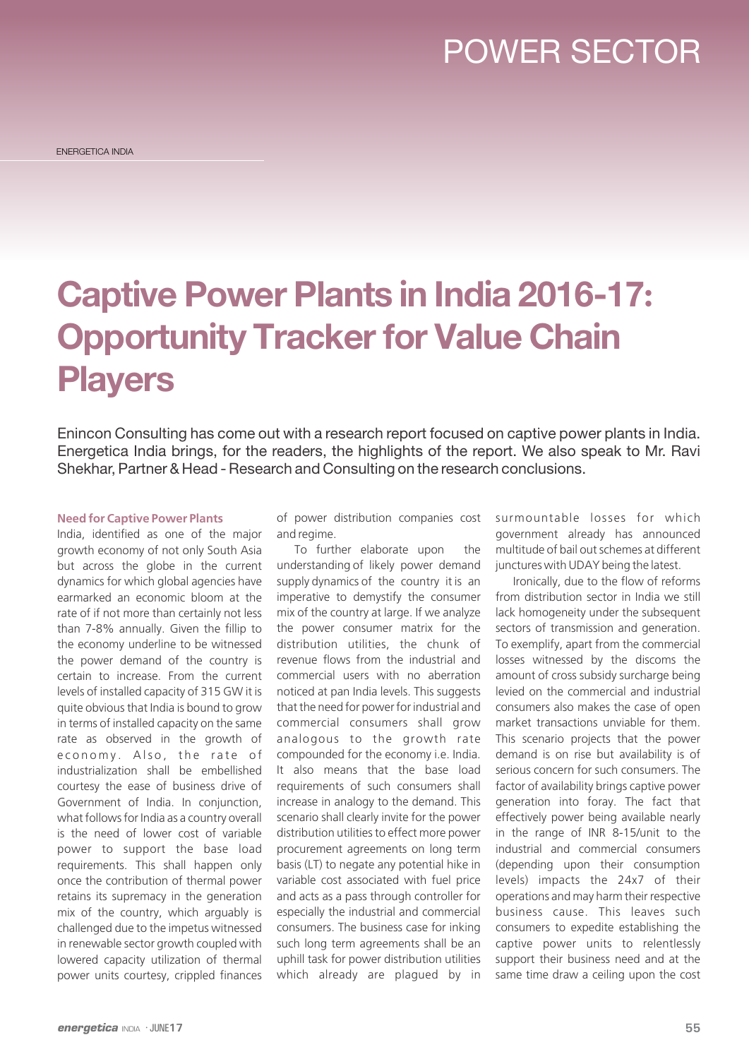## POWER SECTOR

# **Captive Power Plants in India 2016-17: Opportunity Tracker for Value Chain Players**

Enincon Consulting has come out with a research report focused on captive power plants in India. Energetica India brings, for the readers, the highlights of the report. We also speak to Mr. Ravi Shekhar, Partner & Head - Research and Consulting on the research conclusions.

#### **Need for Captive Power Plants**

India, identified as one of the major growth economy of not only South Asia but across the globe in the current dynamics for which global agencies have earmarked an economic bloom at the rate of if not more than certainly not less than 7-8% annually. Given the fillip to the economy underline to be witnessed the power demand of the country is certain to increase. From the current levels of installed capacity of 315 GW it is quite obvious that India is bound to grow in terms of installed capacity on the same rate as observed in the growth of economy. Also, the rate of industrialization shall be embellished courtesy the ease of business drive of Government of India. In conjunction, what follows for India as a country overall is the need of lower cost of variable power to support the base load requirements. This shall happen only once the contribution of thermal power retains its supremacy in the generation mix of the country, which arguably is challenged due to the impetus witnessed in renewable sector growth coupled with lowered capacity utilization of thermal power units courtesy, crippled finances

of power distribution companies cost and regime.

To further elaborate upon the understanding of likely power demand supply dynamics of the country it is an imperative to demystify the consumer mix of the country at large. If we analyze the power consumer matrix for the distribution utilities, the chunk of revenue flows from the industrial and commercial users with no aberration noticed at pan India levels. This suggests that the need for power for industrial and commercial consumers shall grow analogous to the growth rate compounded for the economy i.e. India. It also means that the base load requirements of such consumers shall increase in analogy to the demand. This scenario shall clearly invite for the power distribution utilities to effect more power procurement agreements on long term basis (LT) to negate any potential hike in variable cost associated with fuel price and acts as a pass through controller for especially the industrial and commercial consumers. The business case for inking such long term agreements shall be an uphill task for power distribution utilities which already are plagued by in surmountable losses for which government already has announced multitude of bail out schemes at different junctures with UDAY being the latest.

Ironically, due to the flow of reforms from distribution sector in India we still lack homogeneity under the subsequent sectors of transmission and generation. To exemplify, apart from the commercial losses witnessed by the discoms the amount of cross subsidy surcharge being levied on the commercial and industrial consumers also makes the case of open market transactions unviable for them. This scenario projects that the power demand is on rise but availability is of serious concern for such consumers. The factor of availability brings captive power generation into foray. The fact that effectively power being available nearly in the range of INR 8-15/unit to the industrial and commercial consumers (depending upon their consumption levels) impacts the 24x7 of their operations and may harm their respective business cause. This leaves such consumers to expedite establishing the captive power units to relentlessly support their business need and at the same time draw a ceiling upon the cost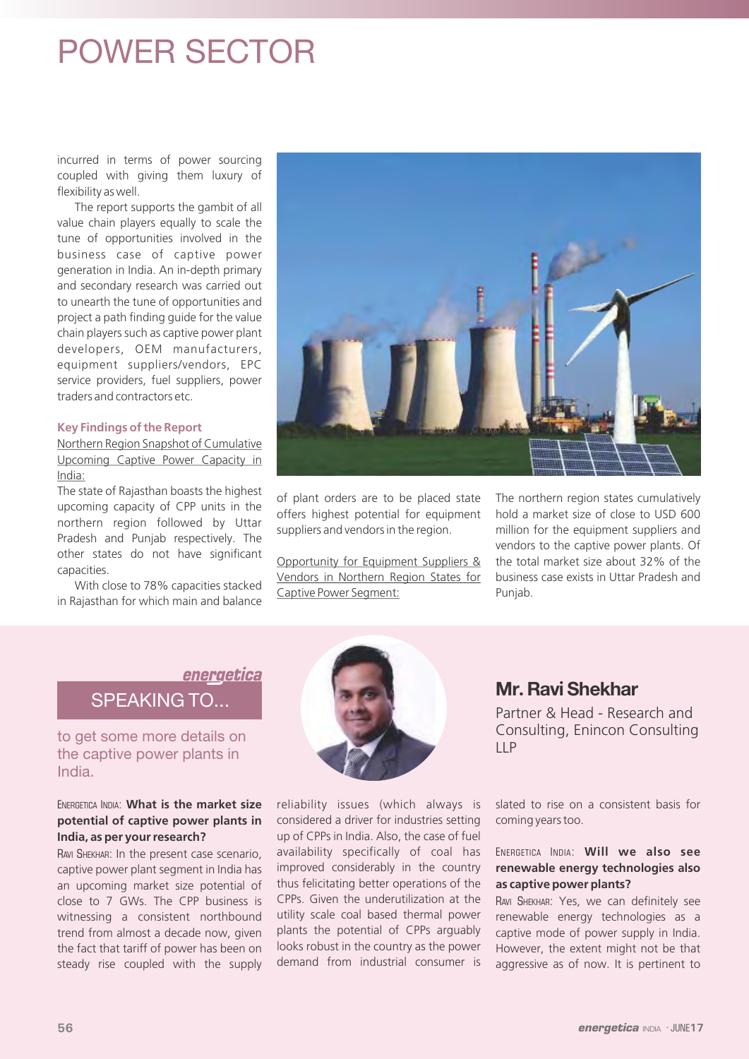### POWER SECTOR

incurred in terms of power sourcing coupled with giving them luxury of flexibility as well.

The report supports the gambit of all value chain players equally to scale the tune of opportunities involved in the business case of captive power generation in India. An in-depth primary and secondary research was carried out to unearth the tune of opportunities and project a path finding guide for the value chain players such as captive power plant developers, OEM manufacturers, equipment suppliers/vendors, EPC service providers, fuel suppliers, power traders and contractors etc.

#### **Key Findings of the Report**

Northern Region Snapshot of Cumulative Upcoming Captive Power Capacity in India:

The state of Rajasthan boasts the highest upcoming capacity of CPP units in the northern region followed by Uttar Pradesh and Punjab respectively. The other states do not have significant capacities.

With close to 78% capacities stacked in Rajasthan for which main and balance



of plant orders are to be placed state offers highest potential for equipment suppliers and vendors in the region.

Opportunity for Equipment Suppliers & Vendors in Northern Region States for Captive Power Segment:

The northern region states cumulatively hold a market size of close to USD 600 million for the equipment suppliers and vendors to the captive power plants. Of the total market size about 32% of the business case exists in Uttar Pradesh and Punjab.

### energetica SPEAKING TO...

to get some more details on the captive power plants in India.

### ENERGETICA INDIA: **What is the market size potential of captive power plants in India, as per your research?**

RAVI SHEKHAR: In the present case scenario, captive power plant segment in India has an upcoming market size potential of close to 7 GWs. The CPP business is witnessing a consistent northbound trend from almost a decade now, given the fact that tariff of power has been on steady rise coupled with the supply



reliability issues (which always is considered a driver for industries setting up of CPPs in India. Also, the case of fuel availability specifically of coal has improved considerably in the country thus felicitating better operations of the CPPs. Given the underutilization at the utility scale coal based thermal power plants the potential of CPPs arguably looks robust in the country as the power demand from industrial consumer is

### **Mr. Ravi Shekhar**

Partner & Head - Research and Consulting, Enincon Consulting  $I$ 

slated to rise on a consistent basis for coming years too.

### ENERGETICA INDIA: **Will we also see renewable energy technologies also as captive power plants?**

RAVI SHEKHAR: Yes, we can definitely see renewable energy technologies as a captive mode of power supply in India. However, the extent might not be that aggressive as of now. It is pertinent to